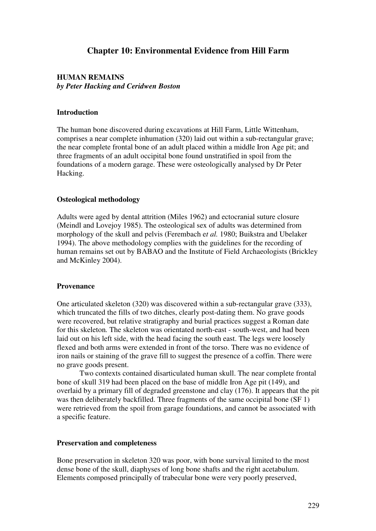# **Chapter 10: Environmental Evidence from Hill Farm**

## **HUMAN REMAINS**  *by Peter Hacking and Ceridwen Boston*

#### **Introduction**

The human bone discovered during excavations at Hill Farm, Little Wittenham, comprises a near complete inhumation (320) laid out within a sub-rectangular grave; the near complete frontal bone of an adult placed within a middle Iron Age pit; and three fragments of an adult occipital bone found unstratified in spoil from the foundations of a modern garage. These were osteologically analysed by Dr Peter Hacking.

### **Osteological methodology**

Adults were aged by dental attrition (Miles 1962) and ectocranial suture closure (Meindl and Lovejoy 1985). The osteological sex of adults was determined from morphology of the skull and pelvis (Ferembach e*t al.* 1980; Buikstra and Ubelaker 1994). The above methodology complies with the guidelines for the recording of human remains set out by BABAO and the Institute of Field Archaeologists (Brickley and McKinley 2004).

#### **Provenance**

One articulated skeleton (320) was discovered within a sub-rectangular grave (333), which truncated the fills of two ditches, clearly post-dating them. No grave goods were recovered, but relative stratigraphy and burial practices suggest a Roman date for this skeleton*.* The skeleton was orientated north-east - south-west, and had been laid out on his left side, with the head facing the south east. The legs were loosely flexed and both arms were extended in front of the torso. There was no evidence of iron nails or staining of the grave fill to suggest the presence of a coffin. There were no grave goods present.

Two contexts contained disarticulated human skull. The near complete frontal bone of skull 319 had been placed on the base of middle Iron Age pit (149), and overlaid by a primary fill of degraded greenstone and clay (176). It appears that the pit was then deliberately backfilled. Three fragments of the same occipital bone (SF 1) were retrieved from the spoil from garage foundations, and cannot be associated with a specific feature.

#### **Preservation and completeness**

Bone preservation in skeleton 320 was poor, with bone survival limited to the most dense bone of the skull, diaphyses of long bone shafts and the right acetabulum. Elements composed principally of trabecular bone were very poorly preserved,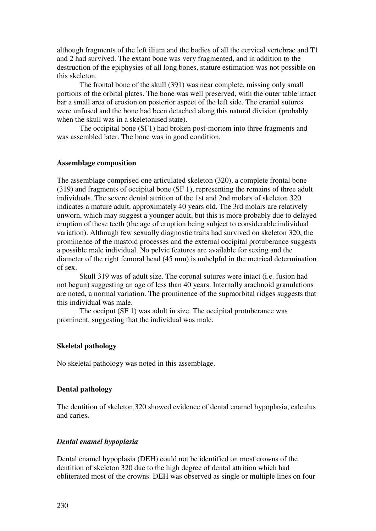although fragments of the left ilium and the bodies of all the cervical vertebrae and T1 and 2 had survived. The extant bone was very fragmented, and in addition to the destruction of the epiphysies of all long bones, stature estimation was not possible on this skeleton.

The frontal bone of the skull (391) was near complete, missing only small portions of the orbital plates. The bone was well preserved, with the outer table intact bar a small area of erosion on posterior aspect of the left side. The cranial sutures were unfused and the bone had been detached along this natural division (probably when the skull was in a skeletonised state).

The occipital bone (SF1) had broken post-mortem into three fragments and was assembled later. The bone was in good condition.

#### **Assemblage composition**

The assemblage comprised one articulated skeleton (320), a complete frontal bone (319) and fragments of occipital bone (SF 1), representing the remains of three adult individuals. The severe dental attrition of the 1st and 2nd molars of skeleton 320 indicates a mature adult, approximately 40 years old. The 3rd molars are relatively unworn, which may suggest a younger adult, but this is more probably due to delayed eruption of these teeth (the age of eruption being subject to considerable individual variation). Although few sexually diagnostic traits had survived on skeleton 320, the prominence of the mastoid processes and the external occipital protuberance suggests a possible male individual. No pelvic features are available for sexing and the diameter of the right femoral head (45 mm) is unhelpful in the metrical determination of sex.

Skull 319 was of adult size. The coronal sutures were intact (i.e. fusion had not begun) suggesting an age of less than 40 years. Internally arachnoid granulations are noted, a normal variation. The prominence of the supraorbital ridges suggests that this individual was male.

The occiput (SF 1) was adult in size. The occipital protuberance was prominent, suggesting that the individual was male.

#### **Skeletal pathology**

No skeletal pathology was noted in this assemblage.

### **Dental pathology**

The dentition of skeleton 320 showed evidence of dental enamel hypoplasia, calculus and caries.

#### *Dental enamel hypoplasia*

Dental enamel hypoplasia (DEH) could not be identified on most crowns of the dentition of skeleton 320 due to the high degree of dental attrition which had obliterated most of the crowns. DEH was observed as single or multiple lines on four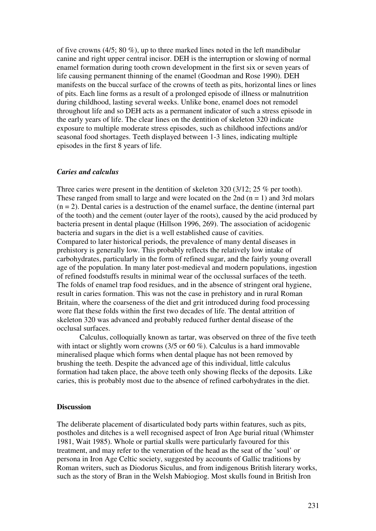of five crowns (4/5; 80 %), up to three marked lines noted in the left mandibular canine and right upper central incisor. DEH is the interruption or slowing of normal enamel formation during tooth crown development in the first six or seven years of life causing permanent thinning of the enamel (Goodman and Rose 1990). DEH manifests on the buccal surface of the crowns of teeth as pits, horizontal lines or lines of pits. Each line forms as a result of a prolonged episode of illness or malnutrition during childhood, lasting several weeks. Unlike bone, enamel does not remodel throughout life and so DEH acts as a permanent indicator of such a stress episode in the early years of life. The clear lines on the dentition of skeleton 320 indicate exposure to multiple moderate stress episodes, such as childhood infections and/or seasonal food shortages. Teeth displayed between 1-3 lines, indicating multiple episodes in the first 8 years of life.

#### *Caries and calculus*

Three caries were present in the dentition of skeleton 320 (3/12; 25 % per tooth). These ranged from small to large and were located on the 2nd  $(n = 1)$  and 3rd molars  $(n = 2)$ . Dental caries is a destruction of the enamel surface, the dentine (internal part of the tooth) and the cement (outer layer of the roots), caused by the acid produced by bacteria present in dental plaque (Hillson 1996, 269). The association of acidogenic bacteria and sugars in the diet is a well established cause of cavities. Compared to later historical periods, the prevalence of many dental diseases in prehistory is generally low. This probably reflects the relatively low intake of carbohydrates, particularly in the form of refined sugar, and the fairly young overall age of the population. In many later post-medieval and modern populations, ingestion of refined foodstuffs results in minimal wear of the occlussal surfaces of the teeth. The folds of enamel trap food residues, and in the absence of stringent oral hygiene, result in caries formation. This was not the case in prehistory and in rural Roman Britain, where the coarseness of the diet and grit introduced during food processing wore flat these folds within the first two decades of life. The dental attrition of skeleton 320 was advanced and probably reduced further dental disease of the occlusal surfaces.

Calculus, colloquially known as tartar, was observed on three of the five teeth with intact or slightly worn crowns (3/5 or 60 %). Calculus is a hard immovable mineralised plaque which forms when dental plaque has not been removed by brushing the teeth. Despite the advanced age of this individual, little calculus formation had taken place, the above teeth only showing flecks of the deposits. Like caries, this is probably most due to the absence of refined carbohydrates in the diet.

#### **Discussion**

The deliberate placement of disarticulated body parts within features, such as pits, postholes and ditches is a well recognised aspect of Iron Age burial ritual (Whimster 1981, Wait 1985). Whole or partial skulls were particularly favoured for this treatment, and may refer to the veneration of the head as the seat of the 'soul' or persona in Iron Age Celtic society, suggested by accounts of Gallic traditions by Roman writers, such as Diodorus Siculus, and from indigenous British literary works, such as the story of Bran in the Welsh Mabiogiog. Most skulls found in British Iron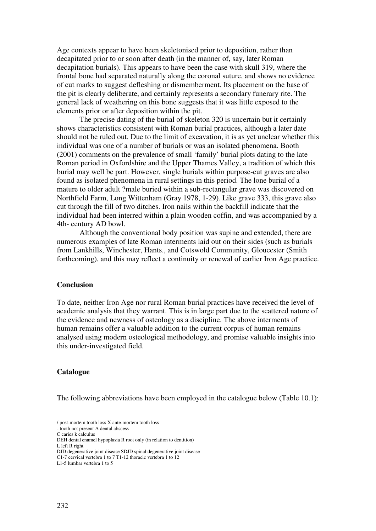Age contexts appear to have been skeletonised prior to deposition, rather than decapitated prior to or soon after death (in the manner of, say, later Roman decapitation burials). This appears to have been the case with skull 319, where the frontal bone had separated naturally along the coronal suture, and shows no evidence of cut marks to suggest defleshing or dismemberment. Its placement on the base of the pit is clearly deliberate, and certainly represents a secondary funerary rite. The general lack of weathering on this bone suggests that it was little exposed to the elements prior or after deposition within the pit.

The precise dating of the burial of skeleton 320 is uncertain but it certainly shows characteristics consistent with Roman burial practices, although a later date should not be ruled out. Due to the limit of excavation, it is as yet unclear whether this individual was one of a number of burials or was an isolated phenomena. Booth (2001) comments on the prevalence of small 'family' burial plots dating to the late Roman period in Oxfordshire and the Upper Thames Valley, a tradition of which this burial may well be part. However, single burials within purpose-cut graves are also found as isolated phenomena in rural settings in this period. The lone burial of a mature to older adult ?male buried within a sub-rectangular grave was discovered on Northfield Farm, Long Wittenham (Gray 1978, 1-29). Like grave 333, this grave also cut through the fill of two ditches. Iron nails within the backfill indicate that the individual had been interred within a plain wooden coffin, and was accompanied by a 4th- century AD bowl.

Although the conventional body position was supine and extended, there are numerous examples of late Roman interments laid out on their sides (such as burials from Lankhills, Winchester, Hants., and Cotswold Community, Gloucester (Smith forthcoming), and this may reflect a continuity or renewal of earlier Iron Age practice.

#### **Conclusion**

To date, neither Iron Age nor rural Roman burial practices have received the level of academic analysis that they warrant. This is in large part due to the scattered nature of the evidence and newness of osteology as a discipline. The above interments of human remains offer a valuable addition to the current corpus of human remains analysed using modern osteological methodology, and promise valuable insights into this under-investigated field.

## **Catalogue**

The following abbreviations have been employed in the catalogue below (Table 10.1):

L left R right

<sup>/</sup> post-mortem tooth loss X ante-mortem tooth loss

<sup>-</sup> tooth not present A dental abscess C caries k calculus

DEH dental enamel hypoplasia R root only (in relation to dentition)

DJD degenerative joint disease SDJD spinal degenerative joint disease

C1-7 cervical vertebra 1 to 7 T1-12 thoracic vertebra 1 to 12

L1-5 lumbar vertebra 1 to 5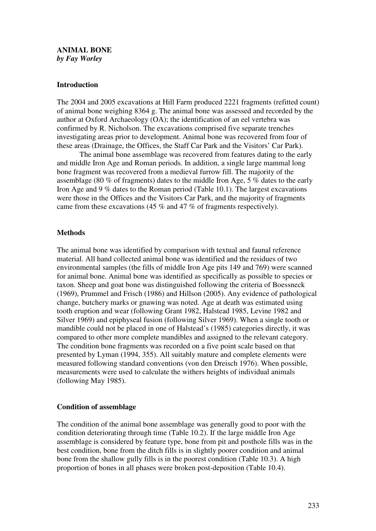## **ANIMAL BONE**  *by Fay Worley*

## **Introduction**

The 2004 and 2005 excavations at Hill Farm produced 2221 fragments (refitted count) of animal bone weighing 8364 g. The animal bone was assessed and recorded by the author at Oxford Archaeology (OA); the identification of an eel vertebra was confirmed by R. Nicholson. The excavations comprised five separate trenches investigating areas prior to development. Animal bone was recovered from four of these areas (Drainage, the Offices, the Staff Car Park and the Visitors' Car Park).

The animal bone assemblage was recovered from features dating to the early and middle Iron Age and Roman periods. In addition, a single large mammal long bone fragment was recovered from a medieval furrow fill. The majority of the assemblage (80 % of fragments) dates to the middle Iron Age, 5 % dates to the early Iron Age and 9 % dates to the Roman period (Table 10.1). The largest excavations were those in the Offices and the Visitors Car Park, and the majority of fragments came from these excavations (45 % and 47 % of fragments respectively).

## **Methods**

The animal bone was identified by comparison with textual and faunal reference material. All hand collected animal bone was identified and the residues of two environmental samples (the fills of middle Iron Age pits 149 and 769) were scanned for animal bone. Animal bone was identified as specifically as possible to species or taxon. Sheep and goat bone was distinguished following the criteria of Boessneck (1969), Prummel and Frisch (1986) and Hillson (2005). Any evidence of pathological change, butchery marks or gnawing was noted. Age at death was estimated using tooth eruption and wear (following Grant 1982, Halstead 1985, Levine 1982 and Silver 1969) and epiphyseal fusion (following Silver 1969). When a single tooth or mandible could not be placed in one of Halstead's (1985) categories directly, it was compared to other more complete mandibles and assigned to the relevant category. The condition bone fragments was recorded on a five point scale based on that presented by Lyman (1994, 355). All suitably mature and complete elements were measured following standard conventions (von den Dreisch 1976). When possible, measurements were used to calculate the withers heights of individual animals (following May 1985).

## **Condition of assemblage**

The condition of the animal bone assemblage was generally good to poor with the condition deteriorating through time (Table 10.2). If the large middle Iron Age assemblage is considered by feature type, bone from pit and posthole fills was in the best condition, bone from the ditch fills is in slightly poorer condition and animal bone from the shallow gully fills is in the poorest condition (Table 10.3). A high proportion of bones in all phases were broken post-deposition (Table 10.4).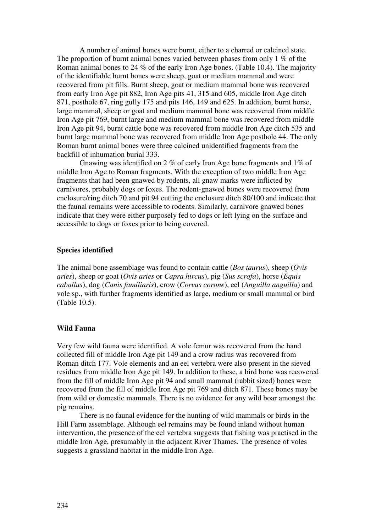A number of animal bones were burnt, either to a charred or calcined state. The proportion of burnt animal bones varied between phases from only 1 % of the Roman animal bones to 24 % of the early Iron Age bones. (Table 10.4). The majority of the identifiable burnt bones were sheep, goat or medium mammal and were recovered from pit fills. Burnt sheep, goat or medium mammal bone was recovered from early Iron Age pit 882, Iron Age pits 41, 315 and 605, middle Iron Age ditch 871, posthole 67, ring gully 175 and pits 146, 149 and 625. In addition, burnt horse, large mammal, sheep or goat and medium mammal bone was recovered from middle Iron Age pit 769, burnt large and medium mammal bone was recovered from middle Iron Age pit 94, burnt cattle bone was recovered from middle Iron Age ditch 535 and burnt large mammal bone was recovered from middle Iron Age posthole 44. The only Roman burnt animal bones were three calcined unidentified fragments from the backfill of inhumation burial 333.

Gnawing was identified on 2 % of early Iron Age bone fragments and 1% of middle Iron Age to Roman fragments. With the exception of two middle Iron Age fragments that had been gnawed by rodents, all gnaw marks were inflicted by carnivores, probably dogs or foxes. The rodent-gnawed bones were recovered from enclosure/ring ditch 70 and pit 94 cutting the enclosure ditch 80/100 and indicate that the faunal remains were accessible to rodents. Similarly, carnivore gnawed bones indicate that they were either purposely fed to dogs or left lying on the surface and accessible to dogs or foxes prior to being covered.

#### **Species identified**

The animal bone assemblage was found to contain cattle (*Bos taurus*), sheep (*Ovis aries*), sheep or goat (*Ovis aries* or *Capra hircus*), pig (*Sus scrofa*), horse (*Equis caballus*), dog (*Canis familiaris*), crow (*Corvus corone*), eel (*Anguilla anguilla*) and vole sp., with further fragments identified as large, medium or small mammal or bird (Table 10.5).

## **Wild Fauna**

Very few wild fauna were identified. A vole femur was recovered from the hand collected fill of middle Iron Age pit 149 and a crow radius was recovered from Roman ditch 177. Vole elements and an eel vertebra were also present in the sieved residues from middle Iron Age pit 149. In addition to these, a bird bone was recovered from the fill of middle Iron Age pit 94 and small mammal (rabbit sized) bones were recovered from the fill of middle Iron Age pit 769 and ditch 871. These bones may be from wild or domestic mammals. There is no evidence for any wild boar amongst the pig remains.

There is no faunal evidence for the hunting of wild mammals or birds in the Hill Farm assemblage. Although eel remains may be found inland without human intervention, the presence of the eel vertebra suggests that fishing was practised in the middle Iron Age, presumably in the adjacent River Thames. The presence of voles suggests a grassland habitat in the middle Iron Age.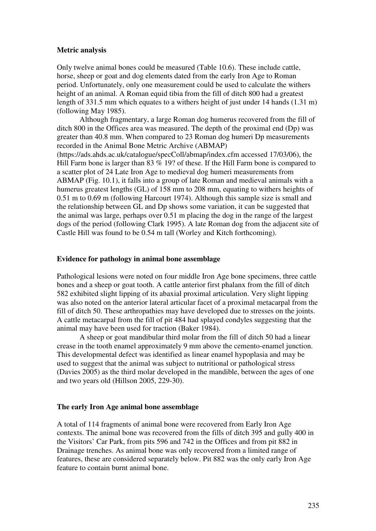## **Metric analysis**

Only twelve animal bones could be measured (Table 10.6). These include cattle, horse, sheep or goat and dog elements dated from the early Iron Age to Roman period. Unfortunately, only one measurement could be used to calculate the withers height of an animal. A Roman equid tibia from the fill of ditch 800 had a greatest length of 331.5 mm which equates to a withers height of just under 14 hands (1.31 m) (following May 1985).

Although fragmentary, a large Roman dog humerus recovered from the fill of ditch 800 in the Offices area was measured. The depth of the proximal end (Dp) was greater than 40.8 mm. When compared to 23 Roman dog humeri Dp measurements recorded in the Animal Bone Metric Archive (ABMAP) (https://ads.ahds.ac.uk/catalogue/specColl/abmap/index.cfm accessed 17/03/06), the Hill Farm bone is larger than 83 % 19? of these. If the Hill Farm bone is compared to a scatter plot of 24 Late Iron Age to medieval dog humeri measurements from ABMAP (Fig. 10.1), it falls into a group of late Roman and medieval animals with a humerus greatest lengths (GL) of 158 mm to 208 mm, equating to withers heights of 0.51 m to 0.69 m (following Harcourt 1974). Although this sample size is small and the relationship between GL and Dp shows some variation, it can be suggested that the animal was large, perhaps over 0.51 m placing the dog in the range of the largest dogs of the period (following Clark 1995). A late Roman dog from the adjacent site of Castle Hill was found to be 0.54 m tall (Worley and Kitch forthcoming).

### **Evidence for pathology in animal bone assemblage**

Pathological lesions were noted on four middle Iron Age bone specimens, three cattle bones and a sheep or goat tooth. A cattle anterior first phalanx from the fill of ditch 582 exhibited slight lipping of its abaxial proximal articulation. Very slight lipping was also noted on the anterior lateral articular facet of a proximal metacarpal from the fill of ditch 50. These arthropathies may have developed due to stresses on the joints. A cattle metacarpal from the fill of pit 484 had splayed condyles suggesting that the animal may have been used for traction (Baker 1984).

A sheep or goat mandibular third molar from the fill of ditch 50 had a linear crease in the tooth enamel approximately 9 mm above the cemento-enamel junction. This developmental defect was identified as linear enamel hypoplasia and may be used to suggest that the animal was subject to nutritional or pathological stress (Davies 2005) as the third molar developed in the mandible, between the ages of one and two years old (Hillson 2005, 229-30).

## **The early Iron Age animal bone assemblage**

A total of 114 fragments of animal bone were recovered from Early Iron Age contexts. The animal bone was recovered from the fills of ditch 395 and gully 400 in the Visitors' Car Park, from pits 596 and 742 in the Offices and from pit 882 in Drainage trenches. As animal bone was only recovered from a limited range of features, these are considered separately below. Pit 882 was the only early Iron Age feature to contain burnt animal bone.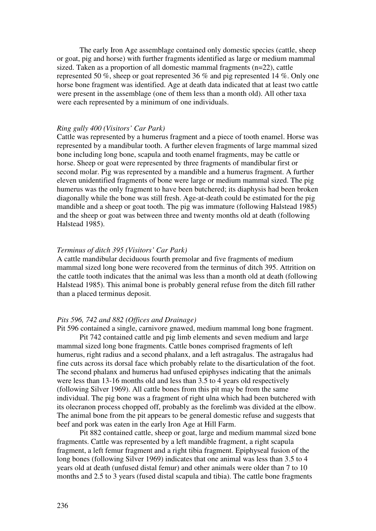The early Iron Age assemblage contained only domestic species (cattle, sheep or goat, pig and horse) with further fragments identified as large or medium mammal sized. Taken as a proportion of all domestic mammal fragments (n=22), cattle represented 50 %, sheep or goat represented 36 % and pig represented 14 %. Only one horse bone fragment was identified. Age at death data indicated that at least two cattle were present in the assemblage (one of them less than a month old). All other taxa were each represented by a minimum of one individuals.

## *Ring gully 400 (Visitors' Car Park)*

Cattle was represented by a humerus fragment and a piece of tooth enamel. Horse was represented by a mandibular tooth. A further eleven fragments of large mammal sized bone including long bone, scapula and tooth enamel fragments, may be cattle or horse. Sheep or goat were represented by three fragments of mandibular first or second molar. Pig was represented by a mandible and a humerus fragment. A further eleven unidentified fragments of bone were large or medium mammal sized. The pig humerus was the only fragment to have been butchered; its diaphysis had been broken diagonally while the bone was still fresh. Age-at-death could be estimated for the pig mandible and a sheep or goat tooth. The pig was immature (following Halstead 1985) and the sheep or goat was between three and twenty months old at death (following Halstead 1985).

#### *Terminus of ditch 395 (Visitors' Car Park)*

A cattle mandibular deciduous fourth premolar and five fragments of medium mammal sized long bone were recovered from the terminus of ditch 395. Attrition on the cattle tooth indicates that the animal was less than a month old at death (following Halstead 1985). This animal bone is probably general refuse from the ditch fill rather than a placed terminus deposit.

#### *Pits 596, 742 and 882 (Offices and Drainage)*

Pit 596 contained a single, carnivore gnawed, medium mammal long bone fragment. Pit 742 contained cattle and pig limb elements and seven medium and large mammal sized long bone fragments. Cattle bones comprised fragments of left humerus, right radius and a second phalanx, and a left astragalus. The astragalus had fine cuts across its dorsal face which probably relate to the disarticulation of the foot. The second phalanx and humerus had unfused epiphyses indicating that the animals were less than 13-16 months old and less than 3.5 to 4 years old respectively (following Silver 1969). All cattle bones from this pit may be from the same individual. The pig bone was a fragment of right ulna which had been butchered with its olecranon process chopped off, probably as the forelimb was divided at the elbow. The animal bone from the pit appears to be general domestic refuse and suggests that beef and pork was eaten in the early Iron Age at Hill Farm.

Pit 882 contained cattle, sheep or goat, large and medium mammal sized bone fragments. Cattle was represented by a left mandible fragment, a right scapula fragment, a left femur fragment and a right tibia fragment. Epiphyseal fusion of the long bones (following Silver 1969) indicates that one animal was less than 3.5 to 4 years old at death (unfused distal femur) and other animals were older than 7 to 10 months and 2.5 to 3 years (fused distal scapula and tibia). The cattle bone fragments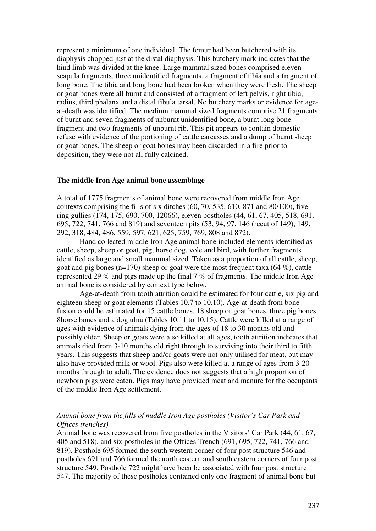represent a minimum of one individual. The femur had been butchered with its diaphysis chopped just at the distal diaphysis. This butchery mark indicates that the hind limb was divided at the knee. Large mammal sized bones comprised eleven scapula fragments, three unidentified fragments, a fragment of tibia and a fragment of long bone. The tibia and long bone had been broken when they were fresh. The sheep or goat bones were all burnt and consisted of a fragment of left pelvis, right tibia, radius, third phalanx and a distal fibula tarsal. No butchery marks or evidence for ageat-death was identified. The medium mammal sized fragments comprise 21 fragments of burnt and seven fragments of unburnt unidentified bone, a burnt long bone fragment and two fragments of unburnt rib. This pit appears to contain domestic refuse with evidence of the portioning of cattle carcasses and a dump of burnt sheep or goat bones. The sheep or goat bones may been discarded in a fire prior to deposition, they were not all fully calcined.

#### **The middle Iron Age animal bone assemblage**

A total of 1775 fragments of animal bone were recovered from middle Iron Age contexts comprising the fills of six ditches (60, 70, 535, 610, 871 and 80/100), five ring gullies (174, 175, 690, 700, 12066), eleven postholes (44, 61, 67, 405, 518, 691, 695, 722, 741, 766 and 819) and seventeen pits (53, 94, 97, 146 (recut of 149), 149, 292, 318, 484, 486, 559, 597, 621, 625, 759, 769, 808 and 872).

Hand collected middle Iron Age animal bone included elements identified as cattle, sheep, sheep or goat, pig, horse dog, vole and bird, with further fragments identified as large and small mammal sized. Taken as a proportion of all cattle, sheep, goat and pig bones (n=170) sheep or goat were the most frequent taxa (64 %), cattle represented 29 % and pigs made up the final 7 % of fragments. The middle Iron Age animal bone is considered by context type below.

Age-at-death from tooth attrition could be estimated for four cattle, six pig and eighteen sheep or goat elements (Tables 10.7 to 10.10). Age-at-death from bone fusion could be estimated for 15 cattle bones, 18 sheep or goat bones, three pig bones, 8horse bones and a dog ulna (Tables 10.11 to 10.15). Cattle were killed at a range of ages with evidence of animals dying from the ages of 18 to 30 months old and possibly older. Sheep or goats were also killed at all ages, tooth attrition indicates that animals died from 3-10 months old right through to surviving into their third to fifth years. This suggests that sheep and/or goats were not only utilised for meat, but may also have provided milk or wool. Pigs also were killed at a range of ages from 3-20 months through to adult. The evidence does not suggests that a high proportion of newborn pigs were eaten. Pigs may have provided meat and manure for the occupants of the middle Iron Age settlement.

## *Animal bone from the fills of middle Iron Age postholes (Visitor's Car Park and Offices trenches)*

Animal bone was recovered from five postholes in the Visitors' Car Park (44, 61, 67, 405 and 518), and six postholes in the Offices Trench (691, 695, 722, 741, 766 and 819). Posthole 695 formed the south western corner of four post structure 546 and postholes 691 and 766 formed the north eastern and south eastern corners of four post structure 549. Posthole 722 might have been be associated with four post structure 547. The majority of these postholes contained only one fragment of animal bone but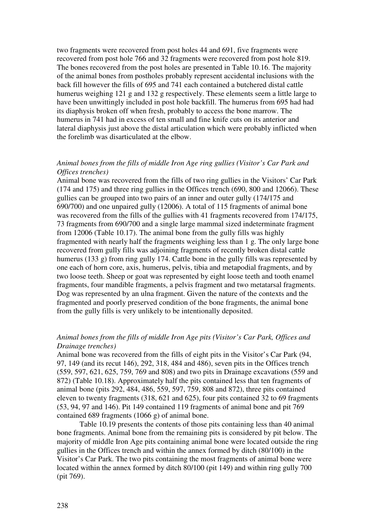two fragments were recovered from post holes 44 and 691, five fragments were recovered from post hole 766 and 32 fragments were recovered from post hole 819. The bones recovered from the post holes are presented in Table 10.16. The majority of the animal bones from postholes probably represent accidental inclusions with the back fill however the fills of 695 and 741 each contained a butchered distal cattle humerus weighing 121 g and 132 g respectively. These elements seem a little large to have been unwittingly included in post hole backfill. The humerus from 695 had had its diaphysis broken off when fresh, probably to access the bone marrow. The humerus in 741 had in excess of ten small and fine knife cuts on its anterior and lateral diaphysis just above the distal articulation which were probably inflicted when the forelimb was disarticulated at the elbow.

## *Animal bones from the fills of middle Iron Age ring gullies (Visitor's Car Park and Offices trenches)*

Animal bone was recovered from the fills of two ring gullies in the Visitors' Car Park (174 and 175) and three ring gullies in the Offices trench (690, 800 and 12066). These gullies can be grouped into two pairs of an inner and outer gully (174/175 and 690/700) and one unpaired gully (12006). A total of 115 fragments of animal bone was recovered from the fills of the gullies with 41 fragments recovered from 174/175, 73 fragments from 690/700 and a single large mammal sized indeterminate fragment from 12006 (Table 10.17). The animal bone from the gully fills was highly fragmented with nearly half the fragments weighing less than 1 g. The only large bone recovered from gully fills was adjoining fragments of recently broken distal cattle humerus (133 g) from ring gully 174. Cattle bone in the gully fills was represented by one each of horn core, axis, humerus, pelvis, tibia and metapodial fragments, and by two loose teeth. Sheep or goat was represented by eight loose teeth and tooth enamel fragments, four mandible fragments, a pelvis fragment and two metatarsal fragments. Dog was represented by an ulna fragment. Given the nature of the contexts and the fragmented and poorly preserved condition of the bone fragments, the animal bone from the gully fills is very unlikely to be intentionally deposited.

## *Animal bones from the fills of middle Iron Age pits (Visitor's Car Park, Offices and Drainage trenches)*

Animal bone was recovered from the fills of eight pits in the Visitor's Car Park (94, 97, 149 (and its recut 146), 292, 318, 484 and 486), seven pits in the Offices trench (559, 597, 621, 625, 759, 769 and 808) and two pits in Drainage excavations (559 and 872) (Table 10.18). Approximately half the pits contained less that ten fragments of animal bone (pits 292, 484, 486, 559, 597, 759, 808 and 872), three pits contained eleven to twenty fragments (318, 621 and 625), four pits contained 32 to 69 fragments (53, 94, 97 and 146). Pit 149 contained 119 fragments of animal bone and pit 769 contained 689 fragments (1066 g) of animal bone.

Table 10.19 presents the contents of those pits containing less than 40 animal bone fragments. Animal bone from the remaining pits is considered by pit below. The majority of middle Iron Age pits containing animal bone were located outside the ring gullies in the Offices trench and within the annex formed by ditch (80/100) in the Visitor's Car Park. The two pits containing the most fragments of animal bone were located within the annex formed by ditch 80/100 (pit 149) and within ring gully 700 (pit 769).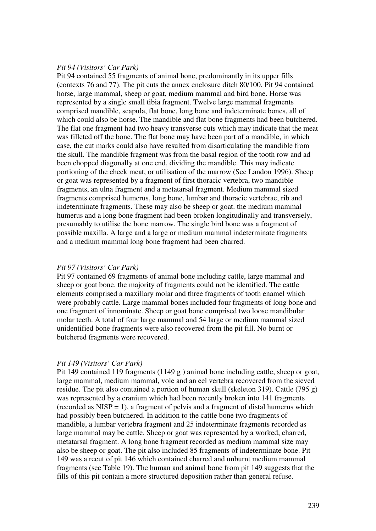#### *Pit 94 (Visitors' Car Park)*

Pit 94 contained 55 fragments of animal bone, predominantly in its upper fills (contexts 76 and 77). The pit cuts the annex enclosure ditch 80/100. Pit 94 contained horse, large mammal, sheep or goat, medium mammal and bird bone. Horse was represented by a single small tibia fragment. Twelve large mammal fragments comprised mandible, scapula, flat bone, long bone and indeterminate bones, all of which could also be horse. The mandible and flat bone fragments had been butchered. The flat one fragment had two heavy transverse cuts which may indicate that the meat was filleted off the bone. The flat bone may have been part of a mandible, in which case, the cut marks could also have resulted from disarticulating the mandible from the skull. The mandible fragment was from the basal region of the tooth row and ad been chopped diagonally at one end, dividing the mandible. This may indicate portioning of the cheek meat, or utilisation of the marrow (See Landon 1996). Sheep or goat was represented by a fragment of first thoracic vertebra, two mandible fragments, an ulna fragment and a metatarsal fragment. Medium mammal sized fragments comprised humerus, long bone, lumbar and thoracic vertebrae, rib and indeterminate fragments. These may also be sheep or goat. the medium mammal humerus and a long bone fragment had been broken longitudinally and transversely, presumably to utilise the bone marrow. The single bird bone was a fragment of possible maxilla. A large and a large or medium mammal indeterminate fragments and a medium mammal long bone fragment had been charred.

#### *Pit 97 (Visitors' Car Park)*

Pit 97 contained 69 fragments of animal bone including cattle, large mammal and sheep or goat bone. the majority of fragments could not be identified. The cattle elements comprised a maxillary molar and three fragments of tooth enamel which were probably cattle. Large mammal bones included four fragments of long bone and one fragment of innominate. Sheep or goat bone comprised two loose mandibular molar teeth. A total of four large mammal and 54 large or medium mammal sized unidentified bone fragments were also recovered from the pit fill. No burnt or butchered fragments were recovered.

## *Pit 149 (Visitors' Car Park)*

Pit 149 contained 119 fragments (1149 g) animal bone including cattle, sheep or goat, large mammal, medium mammal, vole and an eel vertebra recovered from the sieved residue. The pit also contained a portion of human skull (skeleton 319). Cattle (795 g) was represented by a cranium which had been recently broken into 141 fragments (recorded as  $NISP = 1$ ), a fragment of pelvis and a fragment of distal humerus which had possibly been butchered. In addition to the cattle bone two fragments of mandible, a lumbar vertebra fragment and 25 indeterminate fragments recorded as large mammal may be cattle. Sheep or goat was represented by a worked, charred, metatarsal fragment. A long bone fragment recorded as medium mammal size may also be sheep or goat. The pit also included 85 fragments of indeterminate bone. Pit 149 was a recut of pit 146 which contained charred and unburnt medium mammal fragments (see Table 19). The human and animal bone from pit 149 suggests that the fills of this pit contain a more structured deposition rather than general refuse.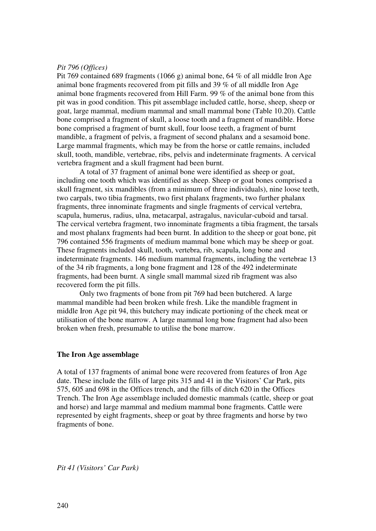#### *Pit 796 (Offices)*

Pit 769 contained 689 fragments (1066 g) animal bone, 64 % of all middle Iron Age animal bone fragments recovered from pit fills and 39 % of all middle Iron Age animal bone fragments recovered from Hill Farm. 99 % of the animal bone from this pit was in good condition. This pit assemblage included cattle, horse, sheep, sheep or goat, large mammal, medium mammal and small mammal bone (Table 10.20). Cattle bone comprised a fragment of skull, a loose tooth and a fragment of mandible. Horse bone comprised a fragment of burnt skull, four loose teeth, a fragment of burnt mandible, a fragment of pelvis, a fragment of second phalanx and a sesamoid bone. Large mammal fragments, which may be from the horse or cattle remains, included skull, tooth, mandible, vertebrae, ribs, pelvis and indeterminate fragments. A cervical vertebra fragment and a skull fragment had been burnt.

A total of 37 fragment of animal bone were identified as sheep or goat, including one tooth which was identified as sheep. Sheep or goat bones comprised a skull fragment, six mandibles (from a minimum of three individuals), nine loose teeth, two carpals, two tibia fragments, two first phalanx fragments, two further phalanx fragments, three innominate fragments and single fragments of cervical vertebra, scapula, humerus, radius, ulna, metacarpal, astragalus, navicular-cuboid and tarsal. The cervical vertebra fragment, two innominate fragments a tibia fragment, the tarsals and most phalanx fragments had been burnt. In addition to the sheep or goat bone, pit 796 contained 556 fragments of medium mammal bone which may be sheep or goat. These fragments included skull, tooth, vertebra, rib, scapula, long bone and indeterminate fragments. 146 medium mammal fragments, including the vertebrae 13 of the 34 rib fragments, a long bone fragment and 128 of the 492 indeterminate fragments, had been burnt. A single small mammal sized rib fragment was also recovered form the pit fills.

Only two fragments of bone from pit 769 had been butchered. A large mammal mandible had been broken while fresh. Like the mandible fragment in middle Iron Age pit 94, this butchery may indicate portioning of the cheek meat or utilisation of the bone marrow. A large mammal long bone fragment had also been broken when fresh, presumable to utilise the bone marrow.

#### **The Iron Age assemblage**

A total of 137 fragments of animal bone were recovered from features of Iron Age date. These include the fills of large pits 315 and 41 in the Visitors' Car Park, pits 575, 605 and 698 in the Offices trench, and the fills of ditch 620 in the Offices Trench. The Iron Age assemblage included domestic mammals (cattle, sheep or goat and horse) and large mammal and medium mammal bone fragments. Cattle were represented by eight fragments, sheep or goat by three fragments and horse by two fragments of bone.

*Pit 41 (Visitors' Car Park)*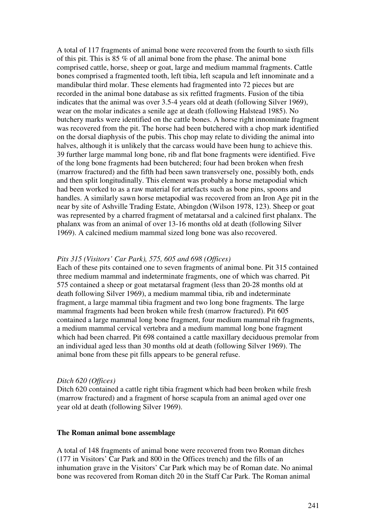A total of 117 fragments of animal bone were recovered from the fourth to sixth fills of this pit. This is 85 % of all animal bone from the phase. The animal bone comprised cattle, horse, sheep or goat, large and medium mammal fragments. Cattle bones comprised a fragmented tooth, left tibia, left scapula and left innominate and a mandibular third molar. These elements had fragmented into 72 pieces but are recorded in the animal bone database as six refitted fragments. Fusion of the tibia indicates that the animal was over 3.5-4 years old at death (following Silver 1969), wear on the molar indicates a senile age at death (following Halstead 1985). No butchery marks were identified on the cattle bones. A horse right innominate fragment was recovered from the pit. The horse had been butchered with a chop mark identified on the dorsal diaphysis of the pubis. This chop may relate to dividing the animal into halves, although it is unlikely that the carcass would have been hung to achieve this. 39 further large mammal long bone, rib and flat bone fragments were identified. Five of the long bone fragments had been butchered; four had been broken when fresh (marrow fractured) and the fifth had been sawn transversely one, possibly both, ends and then split longitudinally. This element was probably a horse metapodial which had been worked to as a raw material for artefacts such as bone pins, spoons and handles. A similarly sawn horse metapodial was recovered from an Iron Age pit in the near by site of Ashville Trading Estate, Abingdon (Wilson 1978, 123). Sheep or goat was represented by a charred fragment of metatarsal and a calcined first phalanx. The phalanx was from an animal of over 13-16 months old at death (following Silver 1969). A calcined medium mammal sized long bone was also recovered.

## *Pits 315 (Visitors' Car Park), 575, 605 and 698 (Offices)*

Each of these pits contained one to seven fragments of animal bone. Pit 315 contained three medium mammal and indeterminate fragments, one of which was charred. Pit 575 contained a sheep or goat metatarsal fragment (less than 20-28 months old at death following Silver 1969), a medium mammal tibia, rib and indeterminate fragment, a large mammal tibia fragment and two long bone fragments. The large mammal fragments had been broken while fresh (marrow fractured). Pit 605 contained a large mammal long bone fragment, four medium mammal rib fragments, a medium mammal cervical vertebra and a medium mammal long bone fragment which had been charred. Pit 698 contained a cattle maxillary deciduous premolar from an individual aged less than 30 months old at death (following Silver 1969). The animal bone from these pit fills appears to be general refuse.

## *Ditch 620 (Offices)*

Ditch 620 contained a cattle right tibia fragment which had been broken while fresh (marrow fractured) and a fragment of horse scapula from an animal aged over one year old at death (following Silver 1969).

## **The Roman animal bone assemblage**

A total of 148 fragments of animal bone were recovered from two Roman ditches (177 in Visitors' Car Park and 800 in the Offices trench) and the fills of an inhumation grave in the Visitors' Car Park which may be of Roman date. No animal bone was recovered from Roman ditch 20 in the Staff Car Park. The Roman animal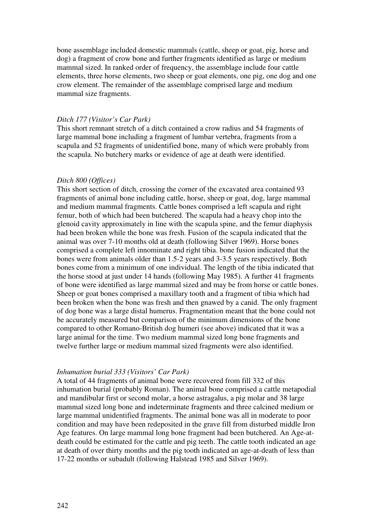bone assemblage included domestic mammals (cattle, sheep or goat, pig, horse and dog) a fragment of crow bone and further fragments identified as large or medium mammal sized. In ranked order of frequency, the assemblage include four cattle elements, three horse elements, two sheep or goat elements, one pig, one dog and one crow element. The remainder of the assemblage comprised large and medium mammal size fragments.

#### *Ditch 177 (Visitor's Car Park)*

This short remnant stretch of a ditch contained a crow radius and 54 fragments of large mammal bone including a fragment of lumbar vertebra, fragments from a scapula and 52 fragments of unidentified bone, many of which were probably from the scapula. No butchery marks or evidence of age at death were identified.

#### *Ditch 800 (Offices)*

This short section of ditch, crossing the corner of the excavated area contained 93 fragments of animal bone including cattle, horse, sheep or goat, dog, large mammal and medium mammal fragments. Cattle bones comprised a left scapula and right femur, both of which had been butchered. The scapula had a heavy chop into the glenoid cavity approximately in line with the scapula spine, and the femur diaphysis had been broken while the bone was fresh. Fusion of the scapula indicated that the animal was over 7-10 months old at death (following Silver 1969). Horse bones comprised a complete left innominate and right tibia. bone fusion indicated that the bones were from animals older than 1.5-2 years and 3-3.5 years respectively. Both bones come from a minimum of one individual. The length of the tibia indicated that the horse stood at just under 14 hands (following May 1985). A further 41 fragments of bone were identified as large mammal sized and may be from horse or cattle bones. Sheep or goat bones comprised a maxillary tooth and a fragment of tibia which had been broken when the bone was fresh and then gnawed by a canid. The only fragment of dog bone was a large distal humerus. Fragmentation meant that the bone could not be accurately measured but comparison of the minimum dimensions of the bone compared to other Romano-British dog humeri (see above) indicated that it was a large animal for the time. Two medium mammal sized long bone fragments and twelve further large or medium mammal sized fragments were also identified.

#### *Inhumation burial 333 (Visitors' Car Park)*

A total of 44 fragments of animal bone were recovered from fill 332 of this inhumation burial (probably Roman). The animal bone comprised a cattle metapodial and mandibular first or second molar, a horse astragalus, a pig molar and 38 large mammal sized long bone and indeterminate fragments and three calcined medium or large mammal unidentified fragments. The animal bone was all in moderate to poor condition and may have been redeposited in the grave fill from disturbed middle Iron Age features. On large mammal long bone fragment had been butchered. An Age-atdeath could be estimated for the cattle and pig teeth. The cattle tooth indicated an age at death of over thirty months and the pig tooth indicated an age-at-death of less than 17-22 months or subadult (following Halstead 1985 and Silver 1969).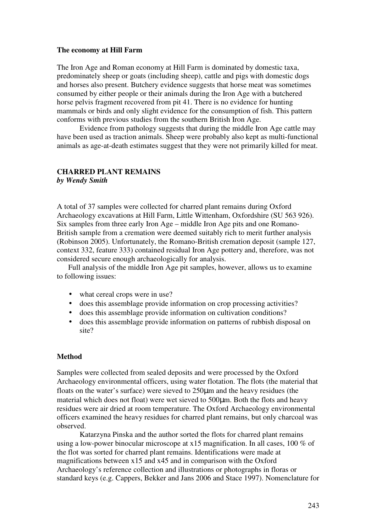#### **The economy at Hill Farm**

The Iron Age and Roman economy at Hill Farm is dominated by domestic taxa, predominately sheep or goats (including sheep), cattle and pigs with domestic dogs and horses also present. Butchery evidence suggests that horse meat was sometimes consumed by either people or their animals during the Iron Age with a butchered horse pelvis fragment recovered from pit 41. There is no evidence for hunting mammals or birds and only slight evidence for the consumption of fish. This pattern conforms with previous studies from the southern British Iron Age.

Evidence from pathology suggests that during the middle Iron Age cattle may have been used as traction animals. Sheep were probably also kept as multi-functional animals as age-at-death estimates suggest that they were not primarily killed for meat.

#### **CHARRED PLANT REMAINS**  *by Wendy Smith*

A total of 37 samples were collected for charred plant remains during Oxford Archaeology excavations at Hill Farm, Little Wittenham, Oxfordshire (SU 563 926). Six samples from three early Iron Age – middle Iron Age pits and one Romano-British sample from a cremation were deemed suitably rich to merit further analysis (Robinson 2005). Unfortunately, the Romano-British cremation deposit (sample 127, context 332, feature 333) contained residual Iron Age pottery and, therefore, was not considered secure enough archaeologically for analysis.

Full analysis of the middle Iron Age pit samples, however, allows us to examine to following issues:

- what cereal crops were in use?
- does this assemblage provide information on crop processing activities?
- does this assemblage provide information on cultivation conditions?
- does this assemblage provide information on patterns of rubbish disposal on site?

## **Method**

Samples were collected from sealed deposits and were processed by the Oxford Archaeology environmental officers, using water flotation. The flots (the material that floats on the water's surface) were sieved to 250µm and the heavy residues (the material which does not float) were wet sieved to 500µm. Both the flots and heavy residues were air dried at room temperature. The Oxford Archaeology environmental officers examined the heavy residues for charred plant remains, but only charcoal was observed.

Katarzyna Pinska and the author sorted the flots for charred plant remains using a low-power binocular microscope at x15 magnification. In all cases, 100 % of the flot was sorted for charred plant remains. Identifications were made at magnifications between x15 and x45 and in comparison with the Oxford Archaeology's reference collection and illustrations or photographs in floras or standard keys (e.g. Cappers, Bekker and Jans 2006 and Stace 1997). Nomenclature for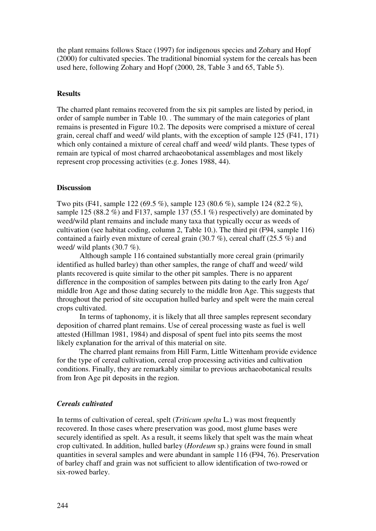the plant remains follows Stace (1997) for indigenous species and Zohary and Hopf (2000) for cultivated species. The traditional binomial system for the cereals has been used here, following Zohary and Hopf (2000, 28, Table 3 and 65, Table 5).

#### **Results**

The charred plant remains recovered from the six pit samples are listed by period, in order of sample number in Table 10. . The summary of the main categories of plant remains is presented in Figure 10.2. The deposits were comprised a mixture of cereal grain, cereal chaff and weed/ wild plants, with the exception of sample 125 (F41, 171) which only contained a mixture of cereal chaff and weed/ wild plants. These types of remain are typical of most charred archaeobotanical assemblages and most likely represent crop processing activities (e.g. Jones 1988, 44).

### **Discussion**

Two pits (F41, sample 122 (69.5 %), sample 123 (80.6 %), sample 124 (82.2 %), sample 125 (88.2 %) and F137, sample 137 (55.1 %) respectively) are dominated by weed/wild plant remains and include many taxa that typically occur as weeds of cultivation (see habitat coding, column 2, Table 10.). The third pit (F94, sample 116) contained a fairly even mixture of cereal grain (30.7 %), cereal chaff (25.5 %) and weed/ wild plants (30.7 %).

Although sample 116 contained substantially more cereal grain (primarily identified as hulled barley) than other samples, the range of chaff and weed/ wild plants recovered is quite similar to the other pit samples. There is no apparent difference in the composition of samples between pits dating to the early Iron Age/ middle Iron Age and those dating securely to the middle Iron Age. This suggests that throughout the period of site occupation hulled barley and spelt were the main cereal crops cultivated.

In terms of taphonomy, it is likely that all three samples represent secondary deposition of charred plant remains. Use of cereal processing waste as fuel is well attested (Hillman 1981, 1984) and disposal of spent fuel into pits seems the most likely explanation for the arrival of this material on site.

The charred plant remains from Hill Farm, Little Wittenham provide evidence for the type of cereal cultivation, cereal crop processing activities and cultivation conditions. Finally, they are remarkably similar to previous archaeobotanical results from Iron Age pit deposits in the region.

#### *Cereals cultivated*

In terms of cultivation of cereal, spelt (*Triticum spelta* L.) was most frequently recovered. In those cases where preservation was good, most glume bases were securely identified as spelt. As a result, it seems likely that spelt was the main wheat crop cultivated. In addition, hulled barley (*Hordeum* sp.) grains were found in small quantities in several samples and were abundant in sample 116 (F94, 76). Preservation of barley chaff and grain was not sufficient to allow identification of two-rowed or six-rowed barley.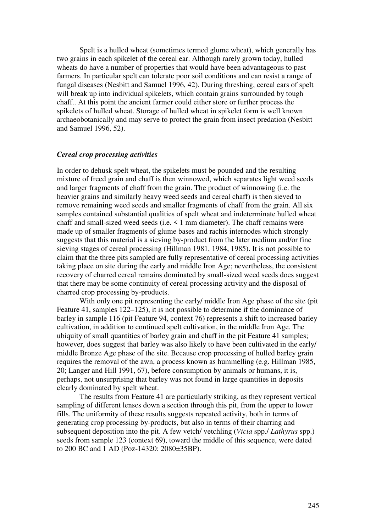Spelt is a hulled wheat (sometimes termed glume wheat), which generally has two grains in each spikelet of the cereal ear. Although rarely grown today, hulled wheats do have a number of properties that would have been advantageous to past farmers. In particular spelt can tolerate poor soil conditions and can resist a range of fungal diseases (Nesbitt and Samuel 1996, 42). During threshing, cereal ears of spelt will break up into individual spikelets, which contain grains surrounded by tough chaff.. At this point the ancient farmer could either store or further process the spikelets of hulled wheat. Storage of hulled wheat in spikelet form is well known archaeobotanically and may serve to protect the grain from insect predation (Nesbitt and Samuel 1996, 52).

#### *Cereal crop processing activities*

In order to dehusk spelt wheat, the spikelets must be pounded and the resulting mixture of freed grain and chaff is then winnowed, which separates light weed seeds and larger fragments of chaff from the grain. The product of winnowing (i.e. the heavier grains and similarly heavy weed seeds and cereal chaff) is then sieved to remove remaining weed seeds and smaller fragments of chaff from the grain. All six samples contained substantial qualities of spelt wheat and indeterminate hulled wheat chaff and small-sized weed seeds (i.e. < 1 mm diameter). The chaff remains were made up of smaller fragments of glume bases and rachis internodes which strongly suggests that this material is a sieving by-product from the later medium and/or fine sieving stages of cereal processing (Hillman 1981, 1984, 1985). It is not possible to claim that the three pits sampled are fully representative of cereal processing activities taking place on site during the early and middle Iron Age; nevertheless, the consistent recovery of charred cereal remains dominated by small-sized weed seeds does suggest that there may be some continuity of cereal processing activity and the disposal of charred crop processing by-products.

With only one pit representing the early/ middle Iron Age phase of the site (pit Feature 41, samples 122–125), it is not possible to determine if the dominance of barley in sample 116 (pit Feature 94, context 76) represents a shift to increased barley cultivation, in addition to continued spelt cultivation, in the middle Iron Age. The ubiquity of small quantities of barley grain and chaff in the pit Feature 41 samples; however, does suggest that barley was also likely to have been cultivated in the early/ middle Bronze Age phase of the site. Because crop processing of hulled barley grain requires the removal of the awn, a process known as hummelling (e.g. Hillman 1985, 20; Langer and Hill 1991, 67), before consumption by animals or humans, it is, perhaps, not unsurprising that barley was not found in large quantities in deposits clearly dominated by spelt wheat.

The results from Feature 41 are particularly striking, as they represent vertical sampling of different lenses down a section through this pit, from the upper to lower fills. The uniformity of these results suggests repeated activity, both in terms of generating crop processing by-products, but also in terms of their charring and subsequent deposition into the pit. A few vetch/ vetchling (*Vicia* spp./ *Lathyrus* spp.) seeds from sample 123 (context 69), toward the middle of this sequence, were dated to 200 BC and 1 AD (Poz-14320: 2080±35BP).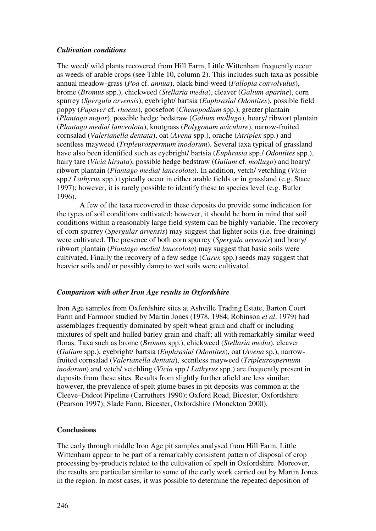## *Cultivation conditions*

The weed/ wild plants recovered from Hill Farm, Little Wittenham frequently occur as weeds of arable crops (see Table 10, column 2). This includes such taxa as possible annual meadow-grass (*Poa* cf. *annua*), black bind-weed (*Fallopia convolvulus*), brome (*Bromus* spp.), chickweed (*Stellaria media*), cleaver (*Galium aparine*), corn spurrey (*Spergula arvensis*), eyebright/ bartsia (*Euphrasia*/ *Odontites*), possible field poppy (*Papaver* cf. *rhoeas*), goosefoot (*Chenopodium* spp.), greater plantain (*Plantago major*), possible hedge bedstraw (*Galium mollugo*), hoary/ ribwort plantain (*Plantago media*/ *lanceolota*), knotgrass (*Polygonum aviculare*), narrow-fruited cornsalad (*Valerianella dentata*), oat (*Avena* spp.), orache (*Atriplex* spp.) and scentless mayweed (*Tripleurospermum inodorum*). Several taxa typical of grassland have also been identified such as eyebright/ bartsia (*Euphrasia* spp./ *Odontites* spp.), hairy tare (*Vicia hirsuta*), possible hedge bedstraw (*Galium* cf. *mollugo*) and hoary/ ribwort plantain (*Plantago media*/ *lanceolota*). In addition, vetch/ vetchling (*Vicia* spp./ *Lathyrus* spp.) typically occur in either arable fields or in grassland (e.g. Stace 1997); however, it is rarely possible to identify these to species level (e.g. Butler 1996).

A few of the taxa recovered in these deposits do provide some indication for the types of soil conditions cultivated; however, it should be born in mind that soil conditions within a reasonably large field system can be highly variable. The recovery of corn spurrey (*Spergular arvensis*) may suggest that lighter soils (i.e. free-draining) were cultivated. The presence of both corn spurrey (*Spergula arvensis*) and hoary/ ribwort plantain (*Plantago media*/ *lanceolota*) may suggest that basic soils were cultivated. Finally the recovery of a few sedge (*Carex* spp.) seeds may suggest that heavier soils and/ or possibly damp to wet soils were cultivated.

## *Comparison with other Iron Age results in Oxfordshire*

Iron Age samples from Oxfordshire sites at Ashville Trading Estate, Barton Court Farm and Farmoor studied by Martin Jones (1978, 1984; Robinson *et al*. 1979) had assemblages frequently dominated by spelt wheat grain and chaff or including mixtures of spelt and hulled barley grain and chaff; all with remarkably similar weed floras. Taxa such as brome (*Bromus* spp.), chickweed (*Stellaria media*), cleaver (*Galium* spp.), eyebright/ bartsia (*Euphrasia*/ *Odontites*), oat (*Avena* sp.), narrowfruited cornsalad (*Valerianella dentata*), scentless mayweed (*Tripleurospermum inodorum*) and vetch/ vetchling (*Vicia* spp./ *Lathyrus* spp.) are frequently present in deposits from these sites. Results from slightly further afield are less similar; however, the prevalence of spelt glume bases in pit deposits was common at the Cleeve–Didcot Pipeline (Carruthers 1990); Oxford Road, Bicester, Oxfordshire (Pearson 1997); Slade Farm, Bicester, Oxfordshire (Monckton 2000).

## **Conclusions**

The early through middle Iron Age pit samples analysed from Hill Farm, Little Wittenham appear to be part of a remarkably consistent pattern of disposal of crop processing by-products related to the cultivation of spelt in Oxfordshire. Moreover, the results are particular similar to some of the early work carried out by Martin Jones in the region. In most cases, it was possible to determine the repeated deposition of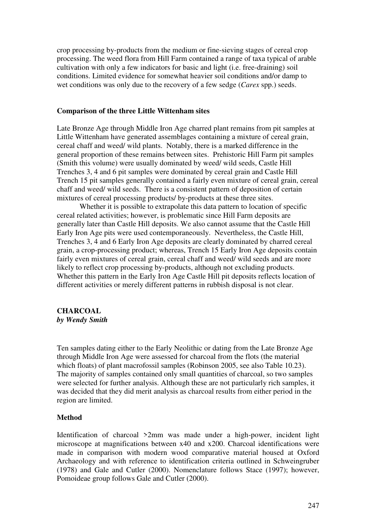crop processing by-products from the medium or fine-sieving stages of cereal crop processing. The weed flora from Hill Farm contained a range of taxa typical of arable cultivation with only a few indicators for basic and light (i.e. free-draining) soil conditions. Limited evidence for somewhat heavier soil conditions and/or damp to wet conditions was only due to the recovery of a few sedge (*Carex* spp.) seeds.

#### **Comparison of the three Little Wittenham sites**

Late Bronze Age through Middle Iron Age charred plant remains from pit samples at Little Wittenham have generated assemblages containing a mixture of cereal grain, cereal chaff and weed/ wild plants. Notably, there is a marked difference in the general proportion of these remains between sites. Prehistoric Hill Farm pit samples (Smith this volume) were usually dominated by weed/ wild seeds, Castle Hill Trenches 3, 4 and 6 pit samples were dominated by cereal grain and Castle Hill Trench 15 pit samples generally contained a fairly even mixture of cereal grain, cereal chaff and weed/ wild seeds. There is a consistent pattern of deposition of certain mixtures of cereal processing products/ by-products at these three sites.

Whether it is possible to extrapolate this data pattern to location of specific cereal related activities; however, is problematic since Hill Farm deposits are generally later than Castle Hill deposits. We also cannot assume that the Castle Hill Early Iron Age pits were used contemporaneously. Nevertheless, the Castle Hill, Trenches 3, 4 and 6 Early Iron Age deposits are clearly dominated by charred cereal grain, a crop-processing product; whereas, Trench 15 Early Iron Age deposits contain fairly even mixtures of cereal grain, cereal chaff and weed/ wild seeds and are more likely to reflect crop processing by-products, although not excluding products. Whether this pattern in the Early Iron Age Castle Hill pit deposits reflects location of different activities or merely different patterns in rubbish disposal is not clear.

## **CHARCOAL**  *by Wendy Smith*

Ten samples dating either to the Early Neolithic or dating from the Late Bronze Age through Middle Iron Age were assessed for charcoal from the flots (the material which floats) of plant macrofossil samples (Robinson 2005, see also Table 10.23). The majority of samples contained only small quantities of charcoal, so two samples were selected for further analysis. Although these are not particularly rich samples, it was decided that they did merit analysis as charcoal results from either period in the region are limited.

## **Method**

Identification of charcoal >2mm was made under a high-power, incident light microscope at magnifications between x40 and x200. Charcoal identifications were made in comparison with modern wood comparative material housed at Oxford Archaeology and with reference to identification criteria outlined in Schweingruber (1978) and Gale and Cutler (2000). Nomenclature follows Stace (1997); however, Pomoideae group follows Gale and Cutler (2000).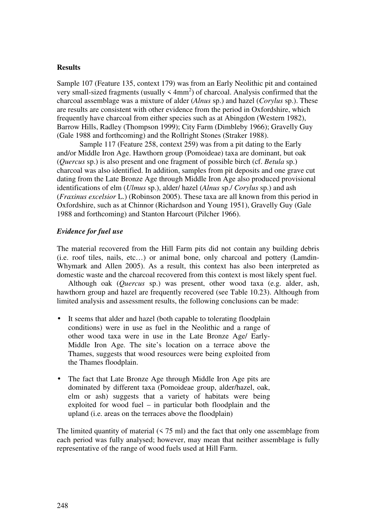## **Results**

Sample 107 (Feature 135, context 179) was from an Early Neolithic pit and contained very small-sized fragments (usually  $\leq 4$ mm<sup>2</sup>) of charcoal. Analysis confirmed that the charcoal assemblage was a mixture of alder (*Alnus* sp.) and hazel (*Corylus* sp.). These are results are consistent with other evidence from the period in Oxfordshire, which frequently have charcoal from either species such as at Abingdon (Western 1982), Barrow Hills, Radley (Thompson 1999); City Farm (Dimbleby 1966); Gravelly Guy (Gale 1988 and forthcoming) and the Rollright Stones (Straker 1988).

Sample 117 (Feature 258, context 259) was from a pit dating to the Early and/or Middle Iron Age. Hawthorn group (Pomoideae) taxa are dominant, but oak (*Quercus* sp.) is also present and one fragment of possible birch (cf. *Betula* sp.) charcoal was also identified. In addition, samples from pit deposits and one grave cut dating from the Late Bronze Age through Middle Iron Age also produced provisional identifications of elm (*Ulmus* sp.), alder/ hazel (*Alnus* sp./ *Corylus* sp.) and ash (*Fraxinus excelsior* L.) (Robinson 2005). These taxa are all known from this period in Oxfordshire, such as at Chinnor (Richardson and Young 1951), Gravelly Guy (Gale 1988 and forthcoming) and Stanton Harcourt (Pilcher 1966).

## *Evidence for fuel use*

The material recovered from the Hill Farm pits did not contain any building debris (i.e. roof tiles, nails, etc…) or animal bone, only charcoal and pottery (Lamdin-Whymark and Allen 2005). As a result, this context has also been interpreted as domestic waste and the charcoal recovered from this context is most likely spent fuel.

Although oak (*Quercus* sp.) was present, other wood taxa (e.g. alder, ash, hawthorn group and hazel are frequently recovered (see Table 10.23). Although from limited analysis and assessment results, the following conclusions can be made:

- It seems that alder and hazel (both capable to tolerating floodplain conditions) were in use as fuel in the Neolithic and a range of other wood taxa were in use in the Late Bronze Age/ Early-Middle Iron Age. The site's location on a terrace above the Thames, suggests that wood resources were being exploited from the Thames floodplain.
- The fact that Late Bronze Age through Middle Iron Age pits are dominated by different taxa (Pomoideae group, alder/hazel, oak, elm or ash) suggests that a variety of habitats were being exploited for wood fuel – in particular both floodplain and the upland (i.e. areas on the terraces above the floodplain)

The limited quantity of material  $(575 \text{ ml})$  and the fact that only one assemblage from each period was fully analysed; however, may mean that neither assemblage is fully representative of the range of wood fuels used at Hill Farm.